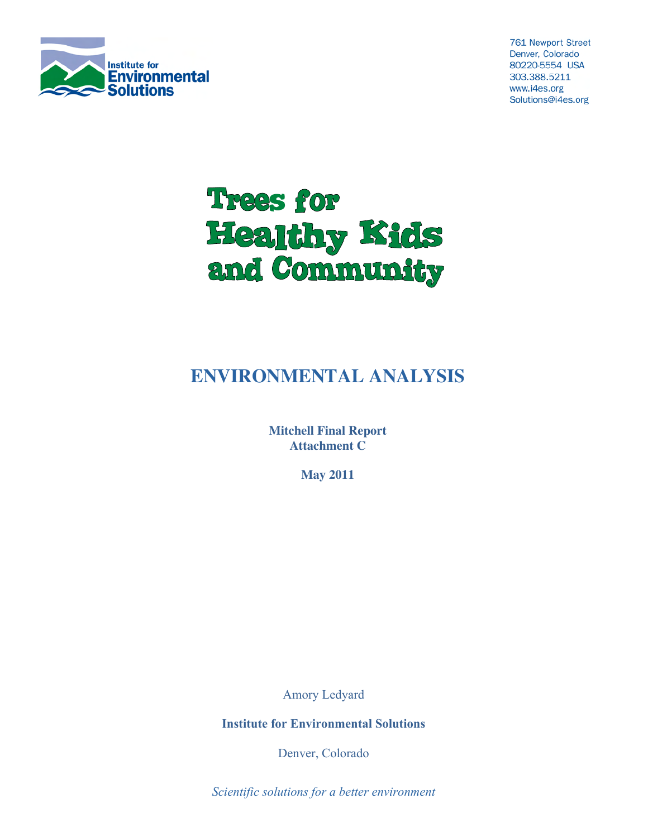

**761 Newport Street** Denver, Colorado 80220-5554 USA 303.388.5211 www.i4es.org Solutions@i4es.org



# **ENVIRONMENTAL ANALYSIS**

**Mitchell Final Report Attachment C**

**May 2011**

Amory Ledyard

**Institute for Environmental Solutions**

Denver, Colorado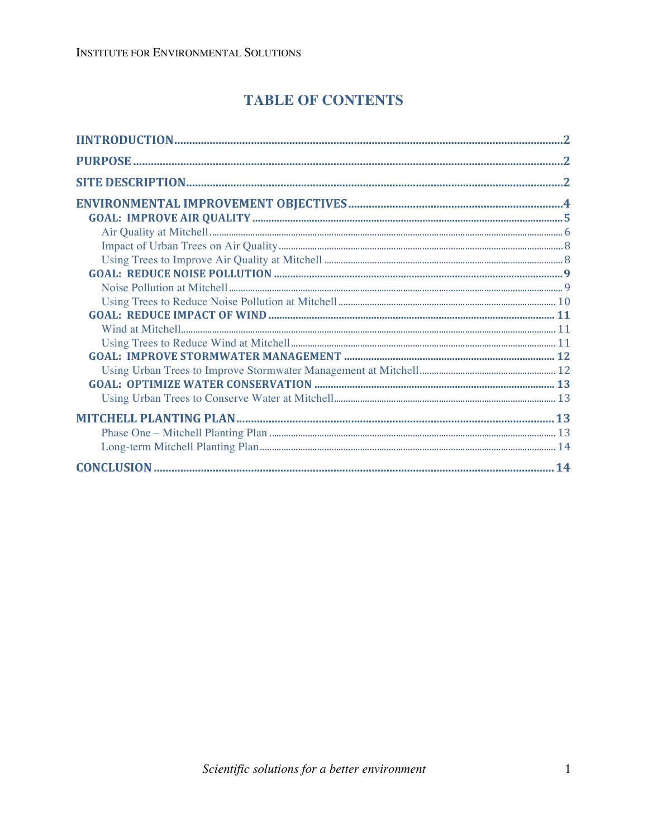## **TABLE OF CONTENTS**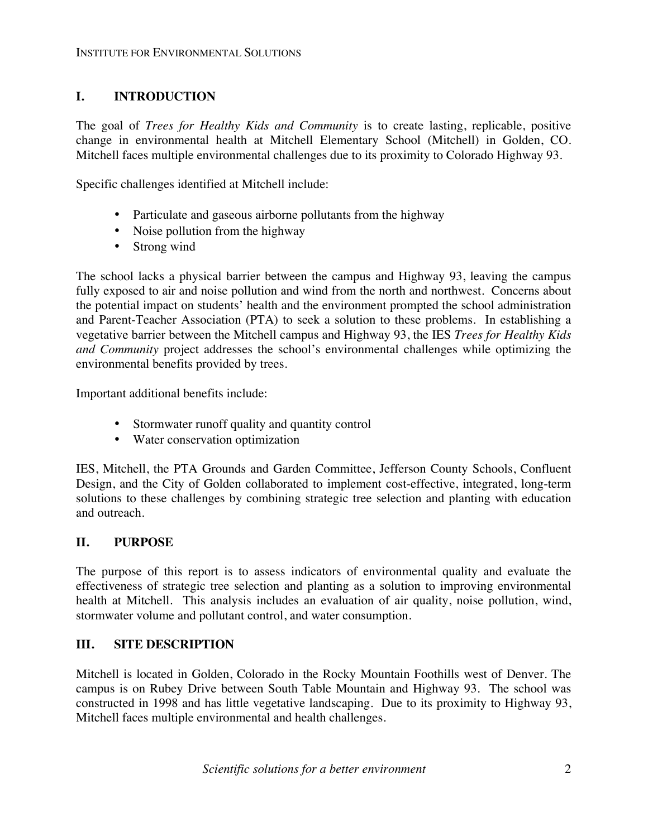### **I. INTRODUCTION**

The goal of *Trees for Healthy Kids and Community* is to create lasting, replicable, positive change in environmental health at Mitchell Elementary School (Mitchell) in Golden, CO. Mitchell faces multiple environmental challenges due to its proximity to Colorado Highway 93.

Specific challenges identified at Mitchell include:

- Particulate and gaseous airborne pollutants from the highway
- Noise pollution from the highway
- Strong wind

The school lacks a physical barrier between the campus and Highway 93, leaving the campus fully exposed to air and noise pollution and wind from the north and northwest. Concerns about the potential impact on students' health and the environment prompted the school administration and Parent-Teacher Association (PTA) to seek a solution to these problems. In establishing a vegetative barrier between the Mitchell campus and Highway 93, the IES *Trees for Healthy Kids and Community* project addresses the school's environmental challenges while optimizing the environmental benefits provided by trees.

Important additional benefits include:

- Stormwater runoff quality and quantity control
- Water conservation optimization

IES, Mitchell, the PTA Grounds and Garden Committee, Jefferson County Schools, Confluent Design, and the City of Golden collaborated to implement cost-effective, integrated, long-term solutions to these challenges by combining strategic tree selection and planting with education and outreach.

### **II. PURPOSE**

The purpose of this report is to assess indicators of environmental quality and evaluate the effectiveness of strategic tree selection and planting as a solution to improving environmental health at Mitchell. This analysis includes an evaluation of air quality, noise pollution, wind, stormwater volume and pollutant control, and water consumption.

### **III. SITE DESCRIPTION**

Mitchell is located in Golden, Colorado in the Rocky Mountain Foothills west of Denver. The campus is on Rubey Drive between South Table Mountain and Highway 93. The school was constructed in 1998 and has little vegetative landscaping. Due to its proximity to Highway 93, Mitchell faces multiple environmental and health challenges.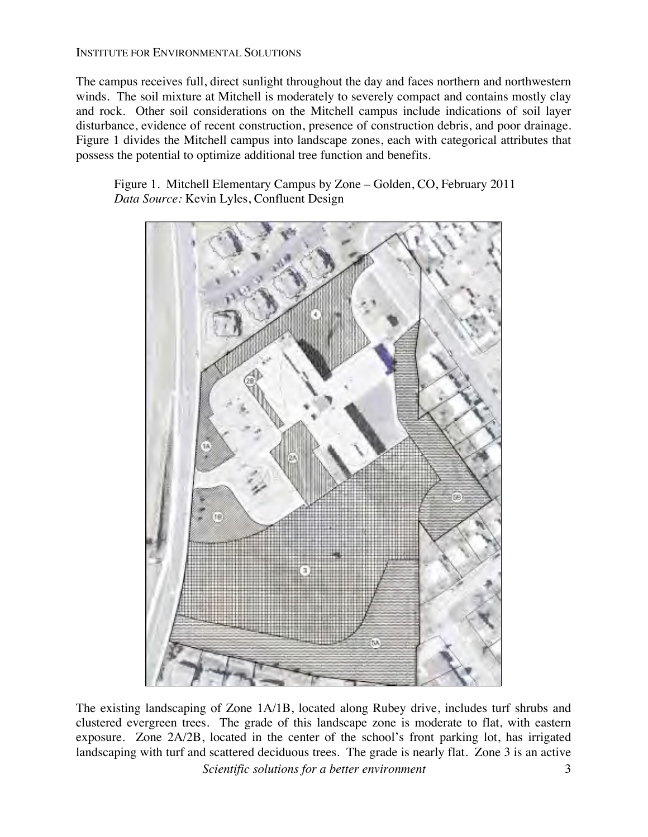The campus receives full, direct sunlight throughout the day and faces northern and northwestern winds. The soil mixture at Mitchell is moderately to severely compact and contains mostly clay and rock. Other soil considerations on the Mitchell campus include indications of soil layer disturbance, evidence of recent construction, presence of construction debris, and poor drainage. Figure 1 divides the Mitchell campus into landscape zones, each with categorical attributes that possess the potential to optimize additional tree function and benefits.

Figure 1. Mitchell Elementary Campus by Zone – Golden, CO, February 2011 *Data Source:* Kevin Lyles, Confluent Design



The existing landscaping of Zone 1A/1B, located along Rubey drive, includes turf shrubs and clustered evergreen trees. The grade of this landscape zone is moderate to flat, with eastern exposure. Zone 2A/2B, located in the center of the school's front parking lot, has irrigated landscaping with turf and scattered deciduous trees. The grade is nearly flat. Zone 3 is an active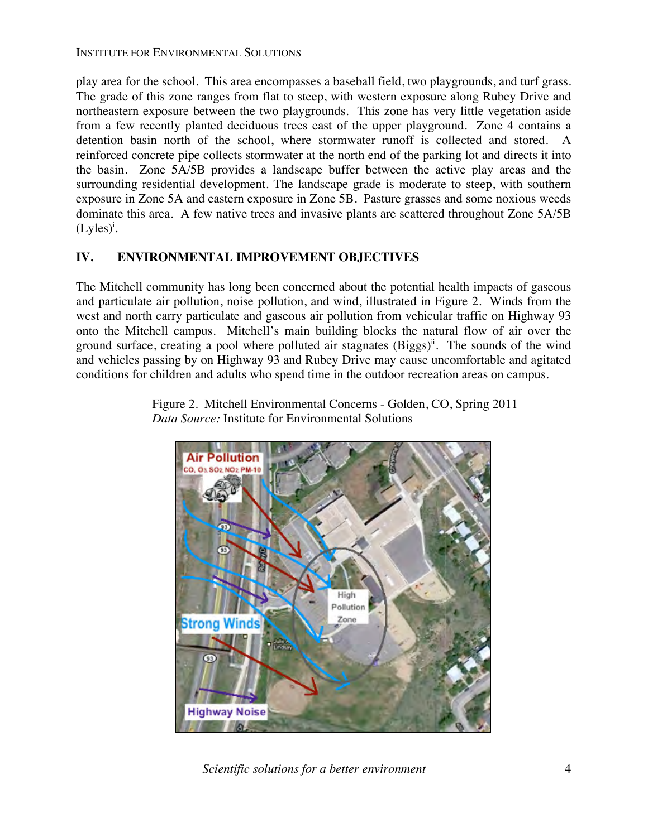play area for the school. This area encompasses a baseball field, two playgrounds, and turf grass. The grade of this zone ranges from flat to steep, with western exposure along Rubey Drive and northeastern exposure between the two playgrounds. This zone has very little vegetation aside from a few recently planted deciduous trees east of the upper playground. Zone 4 contains a detention basin north of the school, where stormwater runoff is collected and stored. A reinforced concrete pipe collects stormwater at the north end of the parking lot and directs it into the basin. Zone 5A/5B provides a landscape buffer between the active play areas and the surrounding residential development. The landscape grade is moderate to steep, with southern exposure in Zone 5A and eastern exposure in Zone 5B. Pasture grasses and some noxious weeds dominate this area. A few native trees and invasive plants are scattered throughout Zone 5A/5B  $(Lyles)^{i}$ .

### **IV. ENVIRONMENTAL IMPROVEMENT OBJECTIVES**

The Mitchell community has long been concerned about the potential health impacts of gaseous and particulate air pollution, noise pollution, and wind, illustrated in Figure 2. Winds from the west and north carry particulate and gaseous air pollution from vehicular traffic on Highway 93 onto the Mitchell campus. Mitchell's main building blocks the natural flow of air over the ground surface, creating a pool where polluted air stagnates  $(Biggs)^{ii}$ . The sounds of the wind and vehicles passing by on Highway 93 and Rubey Drive may cause uncomfortable and agitated conditions for children and adults who spend time in the outdoor recreation areas on campus.



Figure 2. Mitchell Environmental Concerns - Golden, CO, Spring 2011 *Data Source:* Institute for Environmental Solutions

*Scientific solutions for a better environment* 4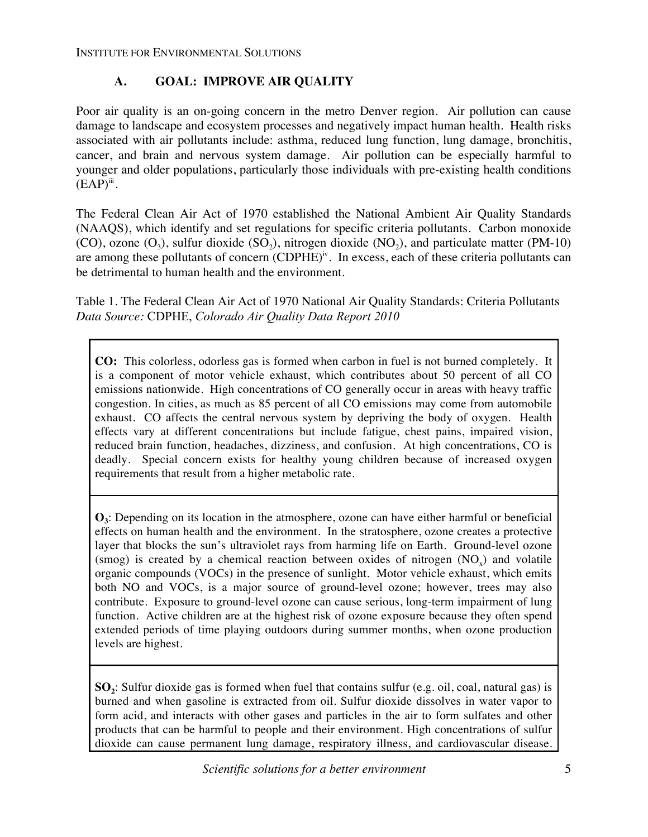### **A. GOAL: IMPROVE AIR QUALITY**

Poor air quality is an on-going concern in the metro Denver region. Air pollution can cause damage to landscape and ecosystem processes and negatively impact human health. Health risks associated with air pollutants include: asthma, reduced lung function, lung damage, bronchitis, cancer, and brain and nervous system damage. Air pollution can be especially harmful to younger and older populations, particularly those individuals with pre-existing health conditions  $(EAP)^{iii}$ .

The Federal Clean Air Act of 1970 established the National Ambient Air Quality Standards (NAAQS), which identify and set regulations for specific criteria pollutants. Carbon monoxide (CO), ozone  $(O_3)$ , sulfur dioxide  $(SO_2)$ , nitrogen dioxide  $(NO_2)$ , and particulate matter (PM-10) are among these pollutants of concern (CDPHE)<sup>iv</sup>. In excess, each of these criteria pollutants can be detrimental to human health and the environment.

Table 1. The Federal Clean Air Act of 1970 National Air Quality Standards: Criteria Pollutants *Data Source:* CDPHE, *Colorado Air Quality Data Report 2010*

**CO:** This colorless, odorless gas is formed when carbon in fuel is not burned completely. It is a component of motor vehicle exhaust, which contributes about 50 percent of all CO emissions nationwide. High concentrations of CO generally occur in areas with heavy traffic congestion. In cities, as much as 85 percent of all CO emissions may come from automobile exhaust. CO affects the central nervous system by depriving the body of oxygen. Health effects vary at different concentrations but include fatigue, chest pains, impaired vision, reduced brain function, headaches, dizziness, and confusion. At high concentrations, CO is deadly. Special concern exists for healthy young children because of increased oxygen requirements that result from a higher metabolic rate.

**O3**: Depending on its location in the atmosphere, ozone can have either harmful or beneficial effects on human health and the environment. In the stratosphere, ozone creates a protective layer that blocks the sun's ultraviolet rays from harming life on Earth. Ground-level ozone (smog) is created by a chemical reaction between oxides of nitrogen  $(NO<sub>x</sub>)$  and volatile organic compounds (VOCs) in the presence of sunlight. Motor vehicle exhaust, which emits both NO and VOCs, is a major source of ground-level ozone; however, trees may also contribute. Exposure to ground-level ozone can cause serious, long-term impairment of lung function. Active children are at the highest risk of ozone exposure because they often spend extended periods of time playing outdoors during summer months, when ozone production levels are highest.

**SO**<sub>2</sub>: Sulfur dioxide gas is formed when fuel that contains sulfur (e.g. oil, coal, natural gas) is burned and when gasoline is extracted from oil. Sulfur dioxide dissolves in water vapor to form acid, and interacts with other gases and particles in the air to form sulfates and other products that can be harmful to people and their environment. High concentrations of sulfur dioxide can cause permanent lung damage, respiratory illness, and cardiovascular disease.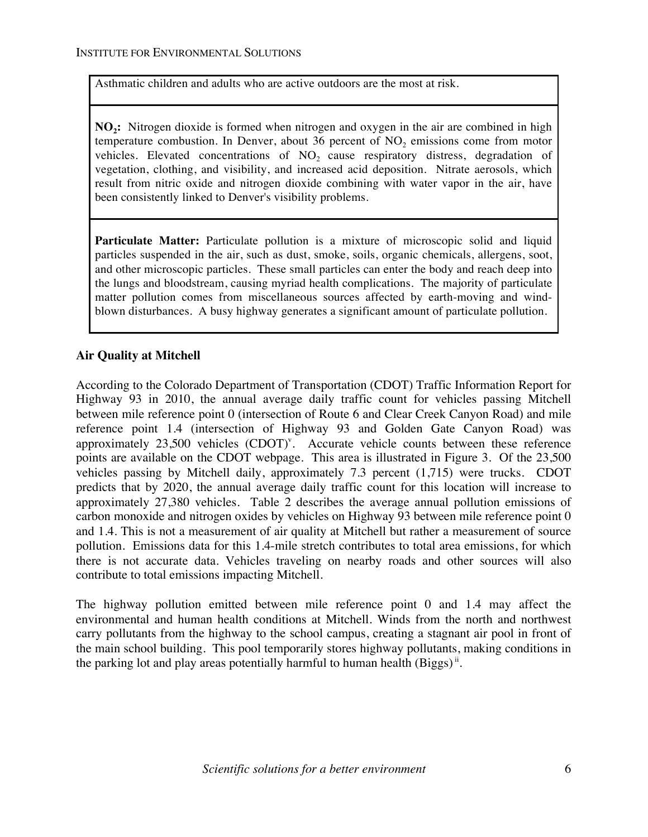Asthmatic children and adults who are active outdoors are the most at risk.

**NO<sub>2</sub>:** Nitrogen dioxide is formed when nitrogen and oxygen in the air are combined in high temperature combustion. In Denver, about 36 percent of  $NO<sub>2</sub>$  emissions come from motor vehicles. Elevated concentrations of  $NO<sub>2</sub>$  cause respiratory distress, degradation of vegetation, clothing, and visibility, and increased acid deposition. Nitrate aerosols, which result from nitric oxide and nitrogen dioxide combining with water vapor in the air, have been consistently linked to Denver's visibility problems.

**Particulate Matter:** Particulate pollution is a mixture of microscopic solid and liquid particles suspended in the air, such as dust, smoke, soils, organic chemicals, allergens, soot, and other microscopic particles. These small particles can enter the body and reach deep into the lungs and bloodstream, causing myriad health complications. The majority of particulate matter pollution comes from miscellaneous sources affected by earth-moving and windblown disturbances. A busy highway generates a significant amount of particulate pollution.

#### **Air Quality at Mitchell**

According to the Colorado Department of Transportation (CDOT) Traffic Information Report for Highway 93 in 2010, the annual average daily traffic count for vehicles passing Mitchell between mile reference point 0 (intersection of Route 6 and Clear Creek Canyon Road) and mile reference point 1.4 (intersection of Highway 93 and Golden Gate Canyon Road) was approximately  $23,500$  vehicles (CDOT)<sup>v</sup>. Accurate vehicle counts between these reference points are available on the CDOT webpage. This area is illustrated in Figure 3. Of the 23,500 vehicles passing by Mitchell daily, approximately 7.3 percent (1,715) were trucks. CDOT predicts that by 2020, the annual average daily traffic count for this location will increase to approximately 27,380 vehicles. Table 2 describes the average annual pollution emissions of carbon monoxide and nitrogen oxides by vehicles on Highway 93 between mile reference point 0 and 1.4. This is not a measurement of air quality at Mitchell but rather a measurement of source pollution. Emissions data for this 1.4-mile stretch contributes to total area emissions, for which there is not accurate data. Vehicles traveling on nearby roads and other sources will also contribute to total emissions impacting Mitchell.

The highway pollution emitted between mile reference point 0 and 1.4 may affect the environmental and human health conditions at Mitchell. Winds from the north and northwest carry pollutants from the highway to the school campus, creating a stagnant air pool in front of the main school building. This pool temporarily stores highway pollutants, making conditions in the parking lot and play areas potentially harmful to human health  $(Biggs)^{ii}$ .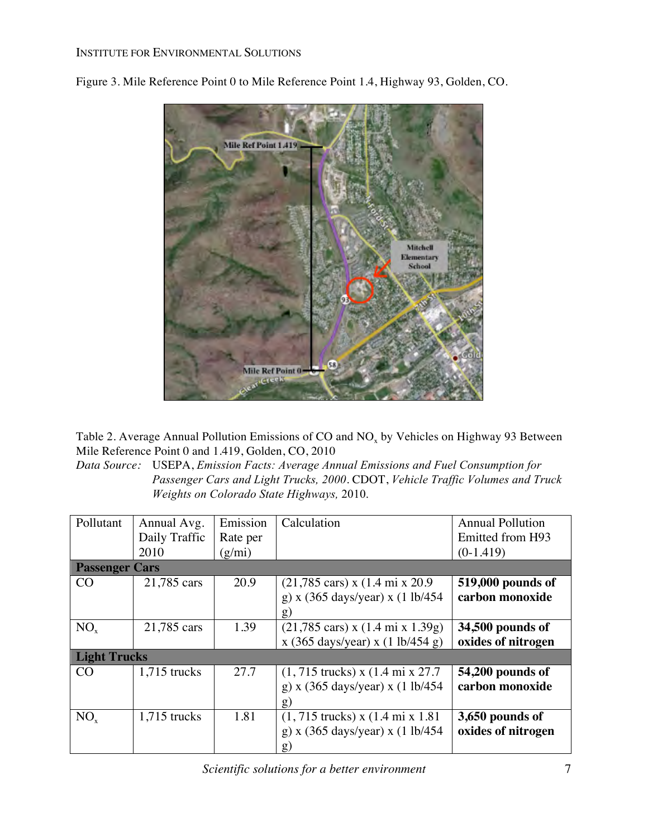

Figure 3. Mile Reference Point 0 to Mile Reference Point 1.4, Highway 93, Golden, CO.

Table 2. Average Annual Pollution Emissions of CO and  $NO<sub>x</sub>$  by Vehicles on Highway 93 Between Mile Reference Point 0 and 1.419, Golden, CO, 2010

*Data Source:* USEPA, *Emission Facts: Average Annual Emissions and Fuel Consumption for Passenger Cars and Light Trucks, 2000*. CDOT, *Vehicle Traffic Volumes and Truck Weights on Colorado State Highways,* 2010.

| Pollutant             | Annual Avg.    | Emission | Calculation                                                           | <b>Annual Pollution</b> |  |
|-----------------------|----------------|----------|-----------------------------------------------------------------------|-------------------------|--|
|                       | Daily Traffic  | Rate per |                                                                       | Emitted from H93        |  |
|                       | 2010           | (g/mi)   |                                                                       | $(0-1.419)$             |  |
| <b>Passenger Cars</b> |                |          |                                                                       |                         |  |
| CO                    | 21,785 cars    | 20.9     | $(21,785 \text{ cars}) \times (1.4 \text{ mi} \times 20.9$            | 519,000 pounds of       |  |
|                       |                |          | g) x (365 days/year) x (1 lb/454                                      | carbon monoxide         |  |
|                       |                |          | g)                                                                    |                         |  |
| $NO_{x}$              | 21,785 cars    | 1.39     | $(21,785 \text{ cars}) \times (1.4 \text{ mi} \times 1.39 \text{ g})$ | 34,500 pounds of        |  |
|                       |                |          | x (365 days/year) x (1 lb/454 g)                                      | oxides of nitrogen      |  |
| <b>Light Trucks</b>   |                |          |                                                                       |                         |  |
| CO <sub>.</sub>       | $1,715$ trucks | 27.7     | $(1, 715$ trucks) x $(1.4 \text{ mi} \times 27.7)$                    | 54,200 pounds of        |  |
|                       |                |          | g) x $(365 \text{ days/year})$ x $(1 \text{ lb}/454)$                 | carbon monoxide         |  |
|                       |                |          | g)                                                                    |                         |  |
| $NO_{x}$              | $1,715$ trucks | 1.81     | $(1, 715$ trucks) x $(1.4 \text{ mi} \times 1.81)$                    | 3,650 pounds of         |  |
|                       |                |          | g) x (365 days/year) x (1 lb/454                                      | oxides of nitrogen      |  |
|                       |                |          | g)                                                                    |                         |  |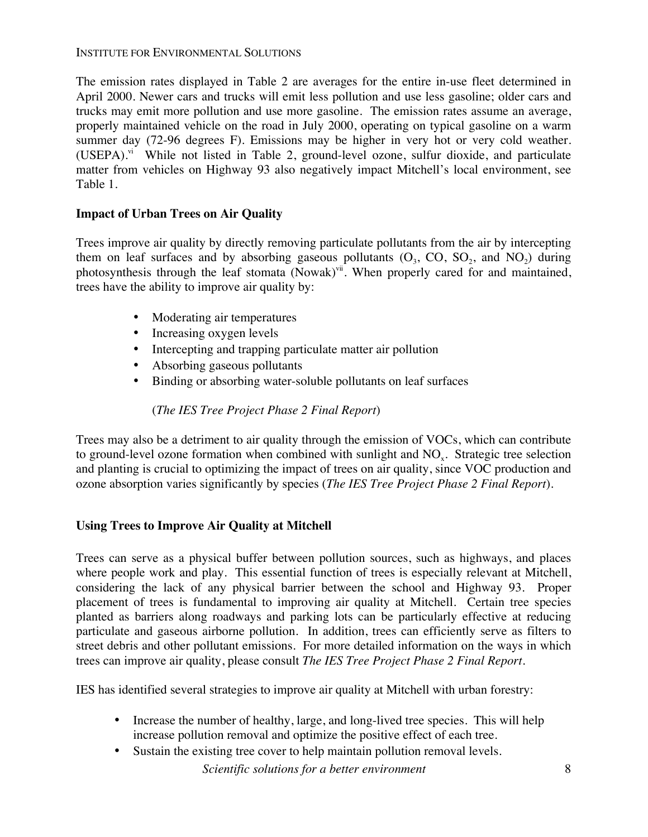The emission rates displayed in Table 2 are averages for the entire in-use fleet determined in April 2000. Newer cars and trucks will emit less pollution and use less gasoline; older cars and trucks may emit more pollution and use more gasoline. The emission rates assume an average, properly maintained vehicle on the road in July 2000, operating on typical gasoline on a warm summer day (72-96 degrees F). Emissions may be higher in very hot or very cold weather.  $(USEPA).$ <sup>vi</sup> While not listed in Table 2, ground-level ozone, sulfur dioxide, and particulate matter from vehicles on Highway 93 also negatively impact Mitchell's local environment, see Table 1.

### **Impact of Urban Trees on Air Quality**

Trees improve air quality by directly removing particulate pollutants from the air by intercepting them on leaf surfaces and by absorbing gaseous pollutants  $(O_3, CO, SO_2,$  and  $NO_2)$  during photosynthesis through the leaf stomata (Nowak)<sup>vii</sup>. When properly cared for and maintained, trees have the ability to improve air quality by:

- Moderating air temperatures
- Increasing oxygen levels
- Intercepting and trapping particulate matter air pollution
- Absorbing gaseous pollutants
- Binding or absorbing water-soluble pollutants on leaf surfaces

(*The IES Tree Project Phase 2 Final Report*)

Trees may also be a detriment to air quality through the emission of VOCs, which can contribute to ground-level ozone formation when combined with sunlight and NO<sub>x</sub>. Strategic tree selection and planting is crucial to optimizing the impact of trees on air quality, since VOC production and ozone absorption varies significantly by species (*The IES Tree Project Phase 2 Final Report*).

### **Using Trees to Improve Air Quality at Mitchell**

Trees can serve as a physical buffer between pollution sources, such as highways, and places where people work and play. This essential function of trees is especially relevant at Mitchell, considering the lack of any physical barrier between the school and Highway 93. Proper placement of trees is fundamental to improving air quality at Mitchell. Certain tree species planted as barriers along roadways and parking lots can be particularly effective at reducing particulate and gaseous airborne pollution. In addition, trees can efficiently serve as filters to street debris and other pollutant emissions. For more detailed information on the ways in which trees can improve air quality, please consult *The IES Tree Project Phase 2 Final Report.*

IES has identified several strategies to improve air quality at Mitchell with urban forestry:

- Increase the number of healthy, large, and long-lived tree species. This will help increase pollution removal and optimize the positive effect of each tree.
- Sustain the existing tree cover to help maintain pollution removal levels.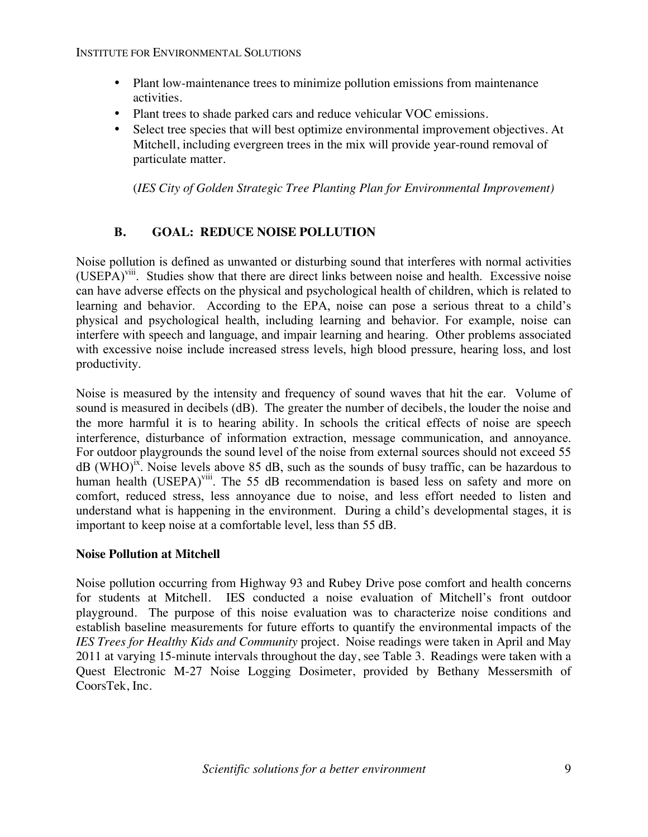- Plant low-maintenance trees to minimize pollution emissions from maintenance activities.
- Plant trees to shade parked cars and reduce vehicular VOC emissions.
- Select tree species that will best optimize environmental improvement objectives. At Mitchell, including evergreen trees in the mix will provide year-round removal of particulate matter.

(*IES City of Golden Strategic Tree Planting Plan for Environmental Improvement)*

### **B. GOAL: REDUCE NOISE POLLUTION**

Noise pollution is defined as unwanted or disturbing sound that interferes with normal activities (USEPA)viii. Studies show that there are direct links between noise and health. Excessive noise can have adverse effects on the physical and psychological health of children, which is related to learning and behavior. According to the EPA, noise can pose a serious threat to a child's physical and psychological health, including learning and behavior. For example, noise can interfere with speech and language, and impair learning and hearing. Other problems associated with excessive noise include increased stress levels, high blood pressure, hearing loss, and lost productivity.

Noise is measured by the intensity and frequency of sound waves that hit the ear. Volume of sound is measured in decibels (dB). The greater the number of decibels, the louder the noise and the more harmful it is to hearing ability. In schools the critical effects of noise are speech interference, disturbance of information extraction, message communication, and annoyance. For outdoor playgrounds the sound level of the noise from external sources should not exceed 55  $\text{dB } (\text{WHO})^{\text{ix}}$ . Noise levels above 85 dB, such as the sounds of busy traffic, can be hazardous to human health (USEPA)<sup>viii</sup>. The 55 dB recommendation is based less on safety and more on comfort, reduced stress, less annoyance due to noise, and less effort needed to listen and understand what is happening in the environment. During a child's developmental stages, it is important to keep noise at a comfortable level, less than 55 dB.

### **Noise Pollution at Mitchell**

Noise pollution occurring from Highway 93 and Rubey Drive pose comfort and health concerns for students at Mitchell. IES conducted a noise evaluation of Mitchell's front outdoor playground. The purpose of this noise evaluation was to characterize noise conditions and establish baseline measurements for future efforts to quantify the environmental impacts of the *IES Trees for Healthy Kids and Community* project. Noise readings were taken in April and May 2011 at varying 15-minute intervals throughout the day, see Table 3. Readings were taken with a Quest Electronic M-27 Noise Logging Dosimeter, provided by Bethany Messersmith of CoorsTek, Inc.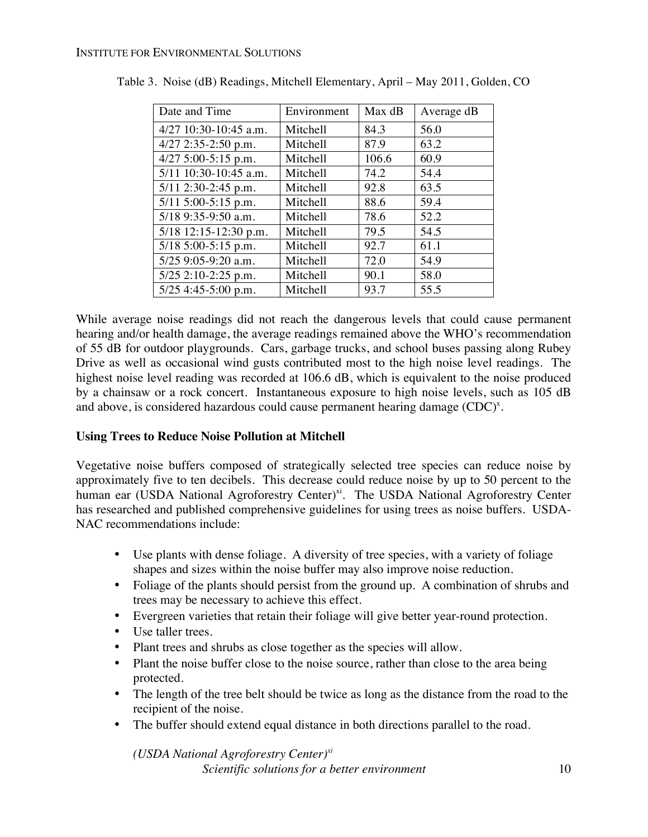| Date and Time         | Environment | Max dB | Average dB |
|-----------------------|-------------|--------|------------|
| 4/27 10:30-10:45 a.m. | Mitchell    | 84.3   | 56.0       |
| $4/27$ 2:35-2:50 p.m. | Mitchell    | 87.9   | 63.2       |
| 4/27 5:00-5:15 p.m.   | Mitchell    | 106.6  | 60.9       |
| 5/11 10:30-10:45 a.m. | Mitchell    | 74.2   | 54.4       |
| $5/11$ 2:30-2:45 p.m. | Mitchell    | 92.8   | 63.5       |
| 5/11 5:00-5:15 p.m.   | Mitchell    | 88.6   | 59.4       |
| $5/18$ 9:35-9:50 a.m. | Mitchell    | 78.6   | 52.2       |
| 5/18 12:15-12:30 p.m. | Mitchell    | 79.5   | 54.5       |
| 5/18 5:00-5:15 p.m.   | Mitchell    | 92.7   | 61.1       |
| 5/25 9:05-9:20 a.m.   | Mitchell    | 72.0   | 54.9       |
| 5/25 2:10-2:25 p.m.   | Mitchell    | 90.1   | 58.0       |
| 5/25 4:45-5:00 p.m.   | Mitchell    | 93.7   | 55.5       |

Table 3. Noise (dB) Readings, Mitchell Elementary, April – May 2011, Golden, CO

While average noise readings did not reach the dangerous levels that could cause permanent hearing and/or health damage, the average readings remained above the WHO's recommendation of 55 dB for outdoor playgrounds. Cars, garbage trucks, and school buses passing along Rubey Drive as well as occasional wind gusts contributed most to the high noise level readings. The highest noise level reading was recorded at 106.6 dB, which is equivalent to the noise produced by a chainsaw or a rock concert. Instantaneous exposure to high noise levels, such as 105 dB and above, is considered hazardous could cause permanent hearing damage  $(CDC)^x$ .

### **Using Trees to Reduce Noise Pollution at Mitchell**

Vegetative noise buffers composed of strategically selected tree species can reduce noise by approximately five to ten decibels. This decrease could reduce noise by up to 50 percent to the human ear (USDA National Agroforestry Center)<sup>xi</sup>. The USDA National Agroforestry Center has researched and published comprehensive guidelines for using trees as noise buffers. USDA-NAC recommendations include:

- Use plants with dense foliage. A diversity of tree species, with a variety of foliage shapes and sizes within the noise buffer may also improve noise reduction.
- Foliage of the plants should persist from the ground up. A combination of shrubs and trees may be necessary to achieve this effect.
- Evergreen varieties that retain their foliage will give better year-round protection.
- Use taller trees.
- Plant trees and shrubs as close together as the species will allow.
- Plant the noise buffer close to the noise source, rather than close to the area being protected.
- The length of the tree belt should be twice as long as the distance from the road to the recipient of the noise.
- The buffer should extend equal distance in both directions parallel to the road.

*Scientific solutions for a better environment* 10 *(USDA National Agroforestry Center)xi*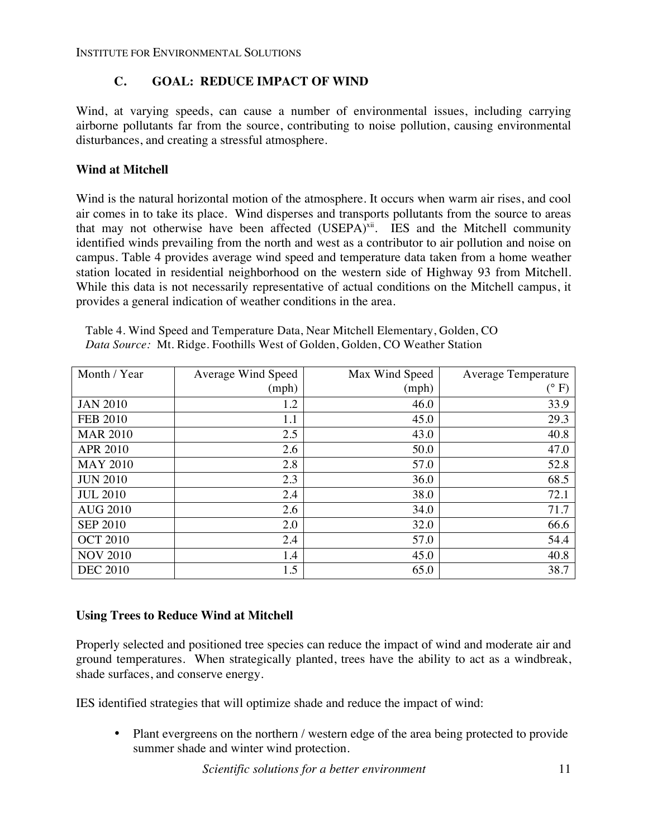### **C. GOAL: REDUCE IMPACT OF WIND**

Wind, at varying speeds, can cause a number of environmental issues, including carrying airborne pollutants far from the source, contributing to noise pollution, causing environmental disturbances, and creating a stressful atmosphere.

### **Wind at Mitchell**

Wind is the natural horizontal motion of the atmosphere. It occurs when warm air rises, and cool air comes in to take its place. Wind disperses and transports pollutants from the source to areas that may not otherwise have been affected  $(USEPA)^{xi}$ . IES and the Mitchell community identified winds prevailing from the north and west as a contributor to air pollution and noise on campus. Table 4 provides average wind speed and temperature data taken from a home weather station located in residential neighborhood on the western side of Highway 93 from Mitchell. While this data is not necessarily representative of actual conditions on the Mitchell campus, it provides a general indication of weather conditions in the area.

| Month / Year    | Average Wind Speed | Max Wind Speed | Average Temperature |
|-----------------|--------------------|----------------|---------------------|
|                 | (mph)              | (mph)          | $(^{\circ}F)$       |
| <b>JAN 2010</b> | 1.2                | 46.0           | 33.9                |
| <b>FEB 2010</b> | 1.1                | 45.0           | 29.3                |
| <b>MAR 2010</b> | 2.5                | 43.0           | 40.8                |
| <b>APR 2010</b> | 2.6                | 50.0           | 47.0                |
| <b>MAY 2010</b> | 2.8                | 57.0           | 52.8                |
| <b>JUN 2010</b> | 2.3                | 36.0           | 68.5                |
| <b>JUL 2010</b> | 2.4                | 38.0           | 72.1                |
| <b>AUG 2010</b> | 2.6                | 34.0           | 71.7                |
| <b>SEP 2010</b> | 2.0                | 32.0           | 66.6                |
| <b>OCT 2010</b> | 2.4                | 57.0           | 54.4                |
| <b>NOV 2010</b> | 1.4                | 45.0           | 40.8                |
| <b>DEC 2010</b> | 1.5                | 65.0           | 38.7                |

Table 4. Wind Speed and Temperature Data, Near Mitchell Elementary, Golden, CO *Data Source:* Mt. Ridge. Foothills West of Golden, Golden, CO Weather Station

### **Using Trees to Reduce Wind at Mitchell**

Properly selected and positioned tree species can reduce the impact of wind and moderate air and ground temperatures. When strategically planted, trees have the ability to act as a windbreak, shade surfaces, and conserve energy.

IES identified strategies that will optimize shade and reduce the impact of wind:

Plant evergreens on the northern / western edge of the area being protected to provide summer shade and winter wind protection.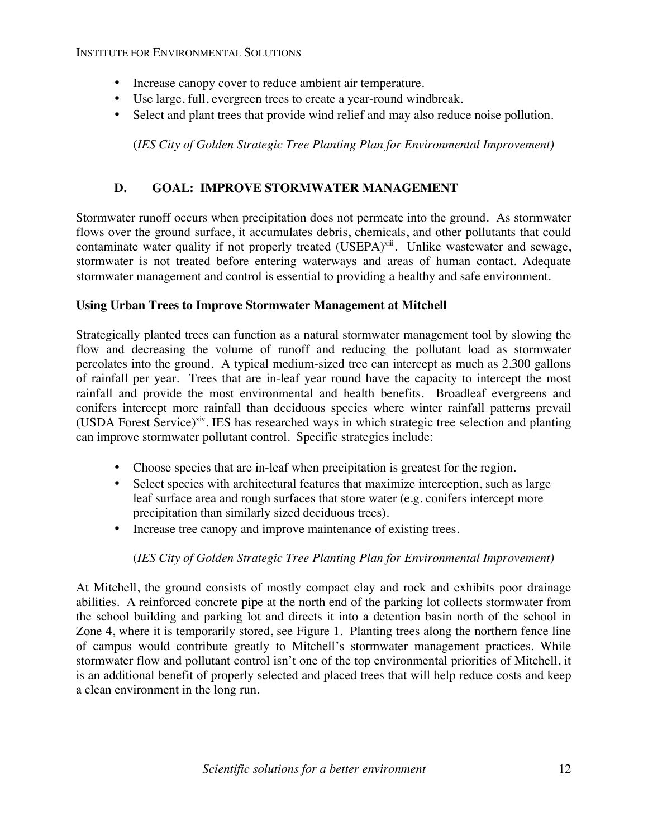- Increase canopy cover to reduce ambient air temperature.
- Use large, full, evergreen trees to create a year-round windbreak.
- Select and plant trees that provide wind relief and may also reduce noise pollution.

(*IES City of Golden Strategic Tree Planting Plan for Environmental Improvement)*

### **D. GOAL: IMPROVE STORMWATER MANAGEMENT**

Stormwater runoff occurs when precipitation does not permeate into the ground. As stormwater flows over the ground surface, it accumulates debris, chemicals, and other pollutants that could contaminate water quality if not properly treated (USEPA)<sup>xiii</sup>. Unlike wastewater and sewage, stormwater is not treated before entering waterways and areas of human contact. Adequate stormwater management and control is essential to providing a healthy and safe environment.

### **Using Urban Trees to Improve Stormwater Management at Mitchell**

Strategically planted trees can function as a natural stormwater management tool by slowing the flow and decreasing the volume of runoff and reducing the pollutant load as stormwater percolates into the ground. A typical medium-sized tree can intercept as much as 2,300 gallons of rainfall per year. Trees that are in-leaf year round have the capacity to intercept the most rainfall and provide the most environmental and health benefits. Broadleaf evergreens and conifers intercept more rainfall than deciduous species where winter rainfall patterns prevail (USDA Forest Service)<sup>xiv</sup>. IES has researched ways in which strategic tree selection and planting can improve stormwater pollutant control. Specific strategies include:

- Choose species that are in-leaf when precipitation is greatest for the region.
- Select species with architectural features that maximize interception, such as large leaf surface area and rough surfaces that store water (e.g. conifers intercept more precipitation than similarly sized deciduous trees).
- Increase tree canopy and improve maintenance of existing trees.

### (*IES City of Golden Strategic Tree Planting Plan for Environmental Improvement)*

At Mitchell, the ground consists of mostly compact clay and rock and exhibits poor drainage abilities. A reinforced concrete pipe at the north end of the parking lot collects stormwater from the school building and parking lot and directs it into a detention basin north of the school in Zone 4, where it is temporarily stored, see Figure 1. Planting trees along the northern fence line of campus would contribute greatly to Mitchell's stormwater management practices. While stormwater flow and pollutant control isn't one of the top environmental priorities of Mitchell, it is an additional benefit of properly selected and placed trees that will help reduce costs and keep a clean environment in the long run.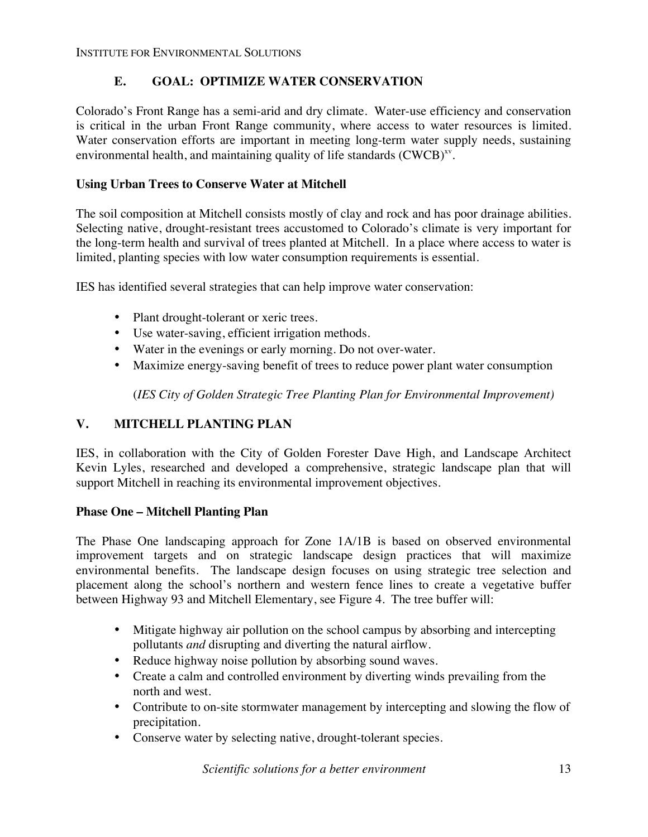### **E. GOAL: OPTIMIZE WATER CONSERVATION**

Colorado's Front Range has a semi-arid and dry climate. Water-use efficiency and conservation is critical in the urban Front Range community, where access to water resources is limited. Water conservation efforts are important in meeting long-term water supply needs, sustaining environmental health, and maintaining quality of life standards  $(CWCB)^{xy}$ .

### **Using Urban Trees to Conserve Water at Mitchell**

The soil composition at Mitchell consists mostly of clay and rock and has poor drainage abilities. Selecting native, drought-resistant trees accustomed to Colorado's climate is very important for the long-term health and survival of trees planted at Mitchell. In a place where access to water is limited, planting species with low water consumption requirements is essential.

IES has identified several strategies that can help improve water conservation:

- Plant drought-tolerant or xeric trees.
- Use water-saving, efficient irrigation methods.
- Water in the evenings or early morning. Do not over-water.
- Maximize energy-saving benefit of trees to reduce power plant water consumption

(*IES City of Golden Strategic Tree Planting Plan for Environmental Improvement)*

### **V. MITCHELL PLANTING PLAN**

IES, in collaboration with the City of Golden Forester Dave High, and Landscape Architect Kevin Lyles, researched and developed a comprehensive, strategic landscape plan that will support Mitchell in reaching its environmental improvement objectives.

### **Phase One – Mitchell Planting Plan**

The Phase One landscaping approach for Zone 1A/1B is based on observed environmental improvement targets and on strategic landscape design practices that will maximize environmental benefits. The landscape design focuses on using strategic tree selection and placement along the school's northern and western fence lines to create a vegetative buffer between Highway 93 and Mitchell Elementary, see Figure 4. The tree buffer will:

- Mitigate highway air pollution on the school campus by absorbing and intercepting pollutants *and* disrupting and diverting the natural airflow.
- Reduce highway noise pollution by absorbing sound waves.
- Create a calm and controlled environment by diverting winds prevailing from the north and west.
- Contribute to on-site stormwater management by intercepting and slowing the flow of precipitation.
- Conserve water by selecting native, drought-tolerant species.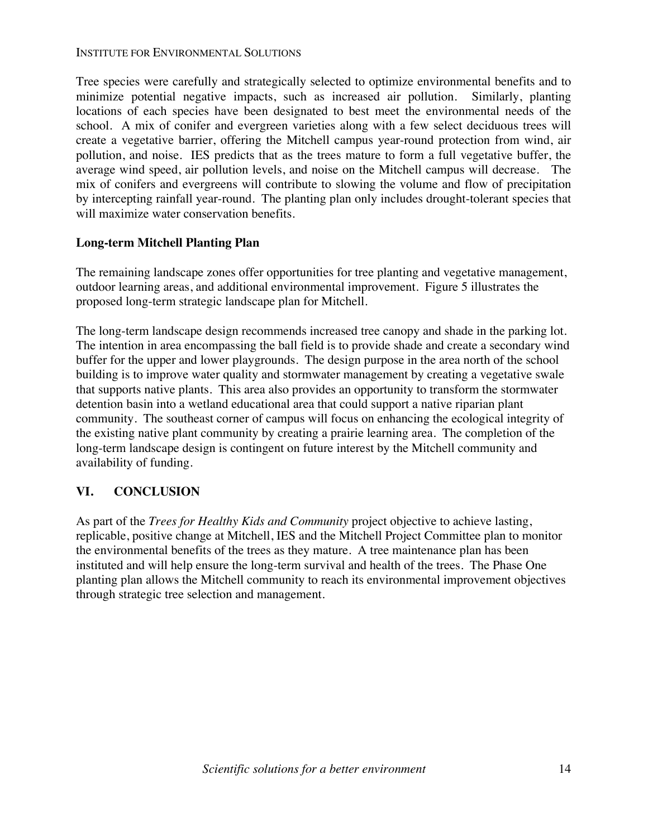Tree species were carefully and strategically selected to optimize environmental benefits and to minimize potential negative impacts, such as increased air pollution. Similarly, planting locations of each species have been designated to best meet the environmental needs of the school. A mix of conifer and evergreen varieties along with a few select deciduous trees will create a vegetative barrier, offering the Mitchell campus year-round protection from wind, air pollution, and noise. IES predicts that as the trees mature to form a full vegetative buffer, the average wind speed, air pollution levels, and noise on the Mitchell campus will decrease. The mix of conifers and evergreens will contribute to slowing the volume and flow of precipitation by intercepting rainfall year-round. The planting plan only includes drought-tolerant species that will maximize water conservation benefits.

#### **Long-term Mitchell Planting Plan**

The remaining landscape zones offer opportunities for tree planting and vegetative management, outdoor learning areas, and additional environmental improvement. Figure 5 illustrates the proposed long-term strategic landscape plan for Mitchell.

The long-term landscape design recommends increased tree canopy and shade in the parking lot. The intention in area encompassing the ball field is to provide shade and create a secondary wind buffer for the upper and lower playgrounds. The design purpose in the area north of the school building is to improve water quality and stormwater management by creating a vegetative swale that supports native plants. This area also provides an opportunity to transform the stormwater detention basin into a wetland educational area that could support a native riparian plant community. The southeast corner of campus will focus on enhancing the ecological integrity of the existing native plant community by creating a prairie learning area. The completion of the long-term landscape design is contingent on future interest by the Mitchell community and availability of funding.

### **VI. CONCLUSION**

As part of the *Trees for Healthy Kids and Community* project objective to achieve lasting, replicable, positive change at Mitchell, IES and the Mitchell Project Committee plan to monitor the environmental benefits of the trees as they mature. A tree maintenance plan has been instituted and will help ensure the long-term survival and health of the trees. The Phase One planting plan allows the Mitchell community to reach its environmental improvement objectives through strategic tree selection and management.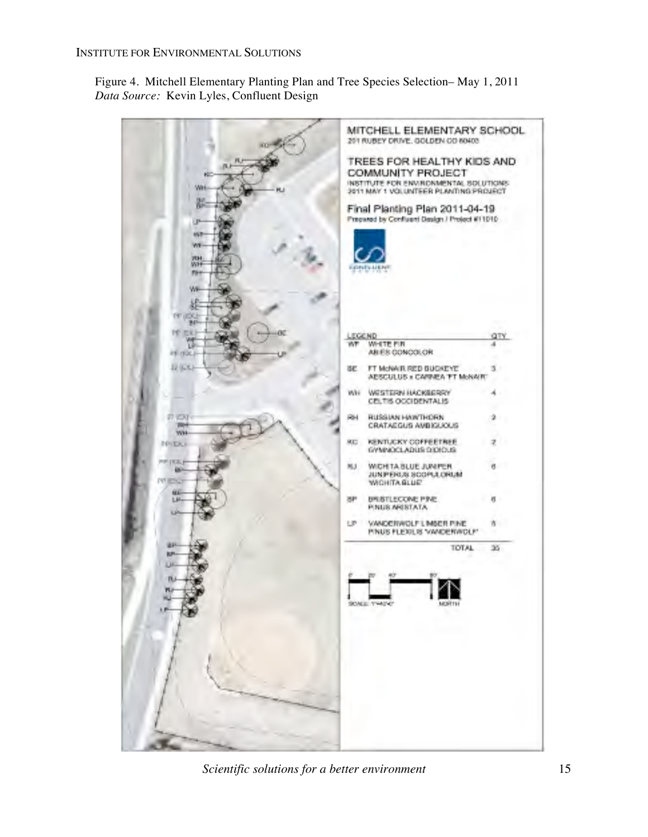Figure 4. Mitchell Elementary Planting Plan and Tree Species Selection– May 1, 2011 *Data Source:* Kevin Lyles, Confluent Design

MITCHELL ELEMENTARY SCHOOL 201 RUBEY DRIVE, GOLDEN CO 80403 TREES FOR HEALTHY KIDS AND COMMUNITY PROJECT INSTITUTE FOR ENVIRONMENTAL SOLUTIONS 2011 MAY 1 VOLUNTEER PLANTING PROJECT Final Planting Plan 2011-04-19 Prepared by Confluent Design J Project #11010 EGEND<br>NT WHITE FIR űΤΥ W ᆁ ABIES CONCOLOR FT McNAR RED BUGKEYE 3 ae AESCULUS x CARNEA TT MoNARC WH WESTERN HACKGERRY ۸ CELTIS OCCIDENTALIS 27.9533 RUSSIAN HAWTHORN RNŭ CRATAEGUS AVEIGUOUS WH KENTUCKY COFFEETREE **RE** z PRIDU GYMINOCLADUS DIDIOUS TEX NJ WICH TA BLUE JUNIFER H) **BO** JUNPERUS SCOPULORUM WICHITA GLUE' **BRISTLECONE PINE** 8P ŋ PINUS ARISTATA LP VANDERWOLF LIMSER PINE à PINUS FLEXILIS VANDERWOLF TOTAL 35

*Scientific solutions for a better environment* 15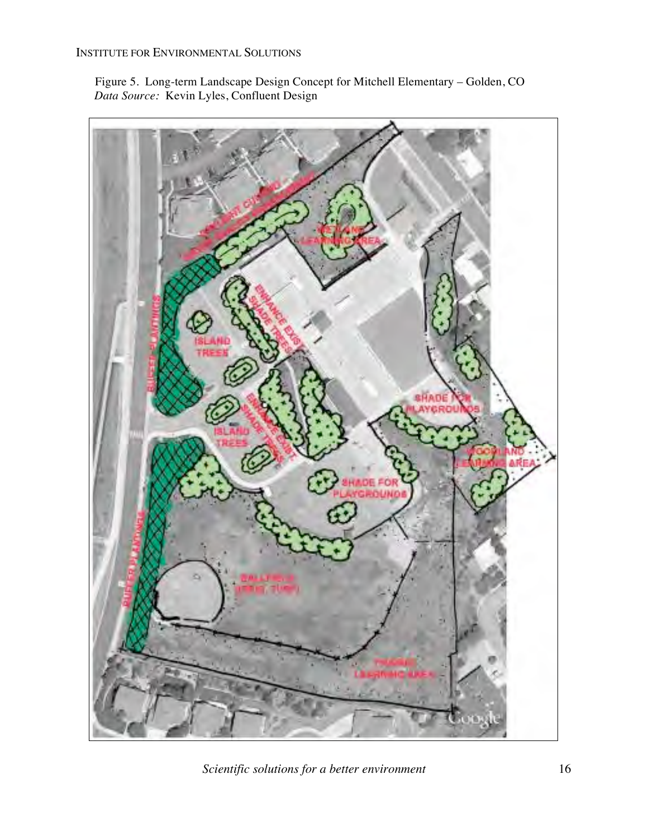Figure 5. Long-term Landscape Design Concept for Mitchell Elementary – Golden, CO  *Data Source:* Kevin Lyles, Confluent Design



*Scientific solutions for a better environment* 16